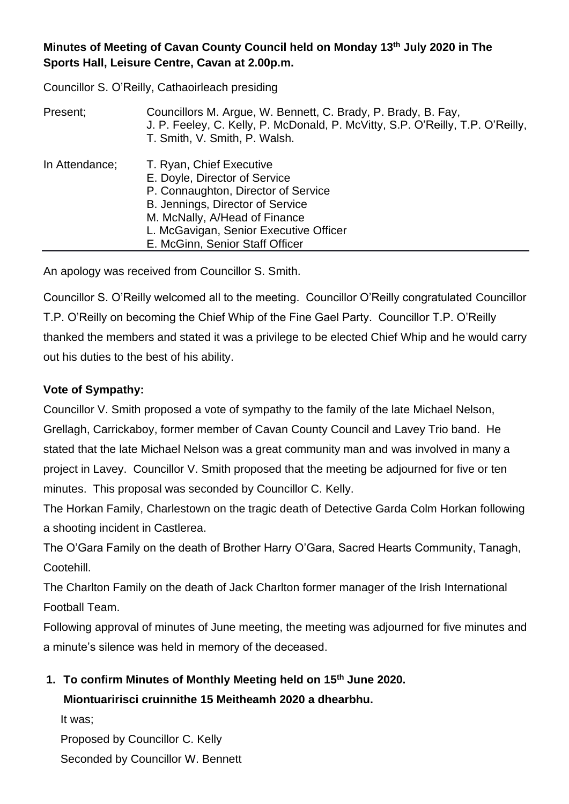### **Minutes of Meeting of Cavan County Council held on Monday 13 th July 2020 in The Sports Hall, Leisure Centre, Cavan at 2.00p.m.**

Councillor S. O'Reilly, Cathaoirleach presiding

| Present;       | Councillors M. Argue, W. Bennett, C. Brady, P. Brady, B. Fay,<br>J. P. Feeley, C. Kelly, P. McDonald, P. McVitty, S.P. O'Reilly, T.P. O'Reilly,<br>T. Smith, V. Smith, P. Walsh.                                                                   |
|----------------|----------------------------------------------------------------------------------------------------------------------------------------------------------------------------------------------------------------------------------------------------|
| In Attendance; | T. Ryan, Chief Executive<br>E. Doyle, Director of Service<br>P. Connaughton, Director of Service<br>B. Jennings, Director of Service<br>M. McNally, A/Head of Finance<br>L. McGavigan, Senior Executive Officer<br>E. McGinn, Senior Staff Officer |

An apology was received from Councillor S. Smith.

Councillor S. O'Reilly welcomed all to the meeting. Councillor O'Reilly congratulated Councillor T.P. O'Reilly on becoming the Chief Whip of the Fine Gael Party. Councillor T.P. O'Reilly thanked the members and stated it was a privilege to be elected Chief Whip and he would carry out his duties to the best of his ability.

### **Vote of Sympathy:**

Councillor V. Smith proposed a vote of sympathy to the family of the late Michael Nelson, Grellagh, Carrickaboy, former member of Cavan County Council and Lavey Trio band. He stated that the late Michael Nelson was a great community man and was involved in many a project in Lavey. Councillor V. Smith proposed that the meeting be adjourned for five or ten minutes. This proposal was seconded by Councillor C. Kelly.

The Horkan Family, Charlestown on the tragic death of Detective Garda Colm Horkan following a shooting incident in Castlerea.

The O'Gara Family on the death of Brother Harry O'Gara, Sacred Hearts Community, Tanagh, Cootehill.

The Charlton Family on the death of Jack Charlton former manager of the Irish International Football Team.

Following approval of minutes of June meeting, the meeting was adjourned for five minutes and a minute's silence was held in memory of the deceased.

### **1. To confirm Minutes of Monthly Meeting held on 15th June 2020.**

**Miontuaririsci cruinnithe 15 Meitheamh 2020 a dhearbhu.**

It was; Proposed by Councillor C. Kelly Seconded by Councillor W. Bennett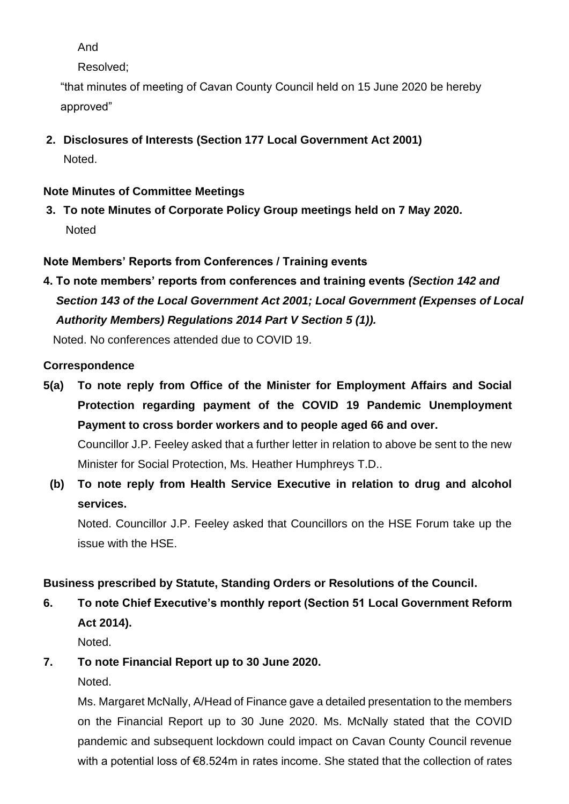And

Resolved;

"that minutes of meeting of Cavan County Council held on 15 June 2020 be hereby approved"

**2. Disclosures of Interests (Section 177 Local Government Act 2001)** Noted.

## **Note Minutes of Committee Meetings**

**3. To note Minutes of Corporate Policy Group meetings held on 7 May 2020. Noted** 

### **Note Members' Reports from Conferences / Training events**

**4. To note members' reports from conferences and training events** *(Section 142 and*  *Section 143 of the Local Government Act 2001; Local Government (Expenses of Local Authority Members) Regulations 2014 Part V Section 5 (1)).*

Noted. No conferences attended due to COVID 19.

### **Correspondence**

- **5(a) To note reply from Office of the Minister for Employment Affairs and Social Protection regarding payment of the COVID 19 Pandemic Unemployment Payment to cross border workers and to people aged 66 and over.** Councillor J.P. Feeley asked that a further letter in relation to above be sent to the new Minister for Social Protection, Ms. Heather Humphreys T.D..
	- **(b) To note reply from Health Service Executive in relation to drug and alcohol services.**

Noted. Councillor J.P. Feeley asked that Councillors on the HSE Forum take up the issue with the HSE.

### **Business prescribed by Statute, Standing Orders or Resolutions of the Council.**

**6. To note Chief Executive's monthly report (Section 51 Local Government Reform Act 2014).**

Noted.

**7. To note Financial Report up to 30 June 2020.**

Noted.

Ms. Margaret McNally, A/Head of Finance gave a detailed presentation to the members on the Financial Report up to 30 June 2020. Ms. McNally stated that the COVID pandemic and subsequent lockdown could impact on Cavan County Council revenue with a potential loss of €8.524m in rates income. She stated that the collection of rates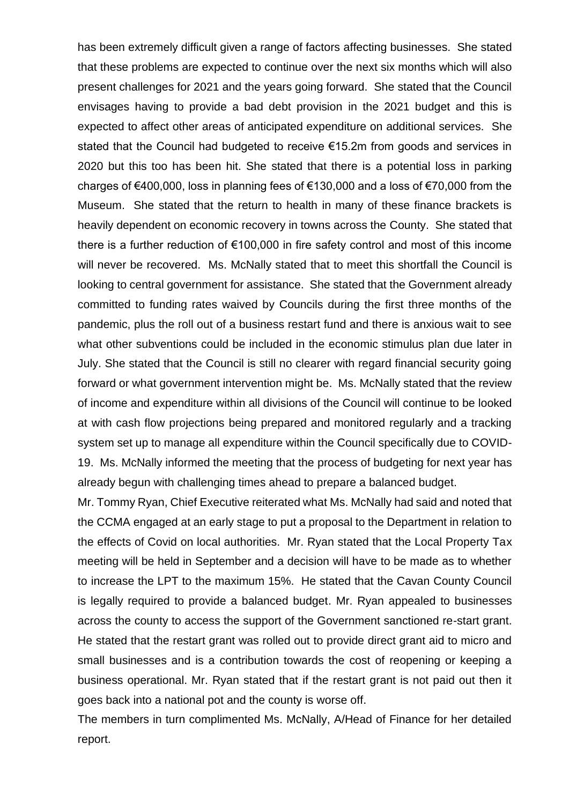has been extremely difficult given a range of factors affecting businesses. She stated that these problems are expected to continue over the next six months which will also present challenges for 2021 and the years going forward. She stated that the Council envisages having to provide a bad debt provision in the 2021 budget and this is expected to affect other areas of anticipated expenditure on additional services. She stated that the Council had budgeted to receive €15.2m from goods and services in 2020 but this too has been hit. She stated that there is a potential loss in parking charges of €400,000, loss in planning fees of €130,000 and a loss of €70,000 from the Museum. She stated that the return to health in many of these finance brackets is heavily dependent on economic recovery in towns across the County. She stated that there is a further reduction of €100,000 in fire safety control and most of this income will never be recovered. Ms. McNally stated that to meet this shortfall the Council is looking to central government for assistance. She stated that the Government already committed to funding rates waived by Councils during the first three months of the pandemic, plus the roll out of a business restart fund and there is anxious wait to see what other subventions could be included in the economic stimulus plan due later in July. She stated that the Council is still no clearer with regard financial security going forward or what government intervention might be. Ms. McNally stated that the review of income and expenditure within all divisions of the Council will continue to be looked at with cash flow projections being prepared and monitored regularly and a tracking system set up to manage all expenditure within the Council specifically due to COVID-19. Ms. McNally informed the meeting that the process of budgeting for next year has already begun with challenging times ahead to prepare a balanced budget.

Mr. Tommy Ryan, Chief Executive reiterated what Ms. McNally had said and noted that the CCMA engaged at an early stage to put a proposal to the Department in relation to the effects of Covid on local authorities. Mr. Ryan stated that the Local Property Tax meeting will be held in September and a decision will have to be made as to whether to increase the LPT to the maximum 15%. He stated that the Cavan County Council is legally required to provide a balanced budget. Mr. Ryan appealed to businesses across the county to access the support of the Government sanctioned re-start grant. He stated that the restart grant was rolled out to provide direct grant aid to micro and small businesses and is a contribution towards the cost of reopening or keeping a business operational. Mr. Ryan stated that if the restart grant is not paid out then it goes back into a national pot and the county is worse off.

The members in turn complimented Ms. McNally, A/Head of Finance for her detailed report.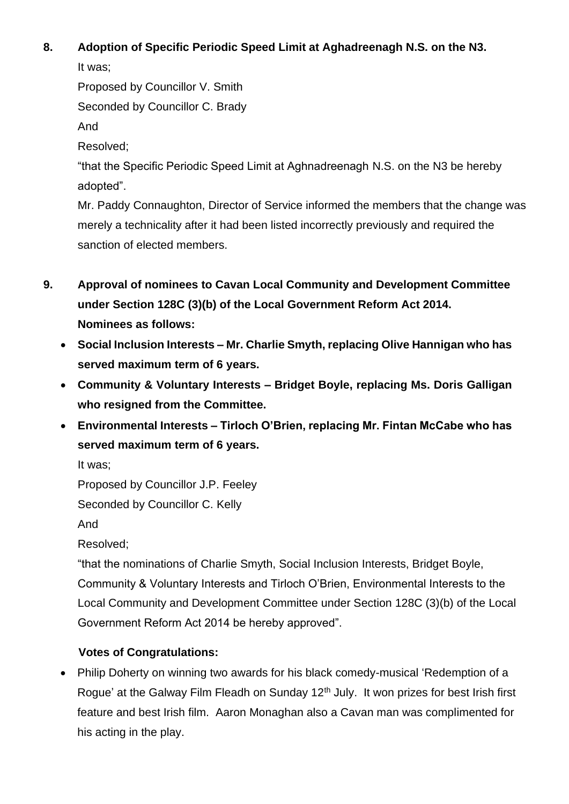# **8. Adoption of Specific Periodic Speed Limit at Aghadreenagh N.S. on the N3.**

It was;

Proposed by Councillor V. Smith

Seconded by Councillor C. Brady

And

Resolved;

"that the Specific Periodic Speed Limit at Aghnadreenagh N.S. on the N3 be hereby adopted".

Mr. Paddy Connaughton, Director of Service informed the members that the change was merely a technicality after it had been listed incorrectly previously and required the sanction of elected members.

- **9. Approval of nominees to Cavan Local Community and Development Committee under Section 128C (3)(b) of the Local Government Reform Act 2014. Nominees as follows:**
	- **Social Inclusion Interests – Mr. Charlie Smyth, replacing Olive Hannigan who has served maximum term of 6 years.**
	- **Community & Voluntary Interests – Bridget Boyle, replacing Ms. Doris Galligan who resigned from the Committee.**
	- **Environmental Interests – Tirloch O'Brien, replacing Mr. Fintan McCabe who has served maximum term of 6 years.**

It was;

Proposed by Councillor J.P. Feeley

Seconded by Councillor C. Kelly

And

Resolved;

"that the nominations of Charlie Smyth, Social Inclusion Interests, Bridget Boyle, Community & Voluntary Interests and Tirloch O'Brien, Environmental Interests to the Local Community and Development Committee under Section 128C (3)(b) of the Local Government Reform Act 2014 be hereby approved".

# **Votes of Congratulations:**

• Philip Doherty on winning two awards for his black comedy-musical 'Redemption of a Rogue' at the Galway Film Fleadh on Sunday 12<sup>th</sup> July. It won prizes for best Irish first feature and best Irish film. Aaron Monaghan also a Cavan man was complimented for his acting in the play.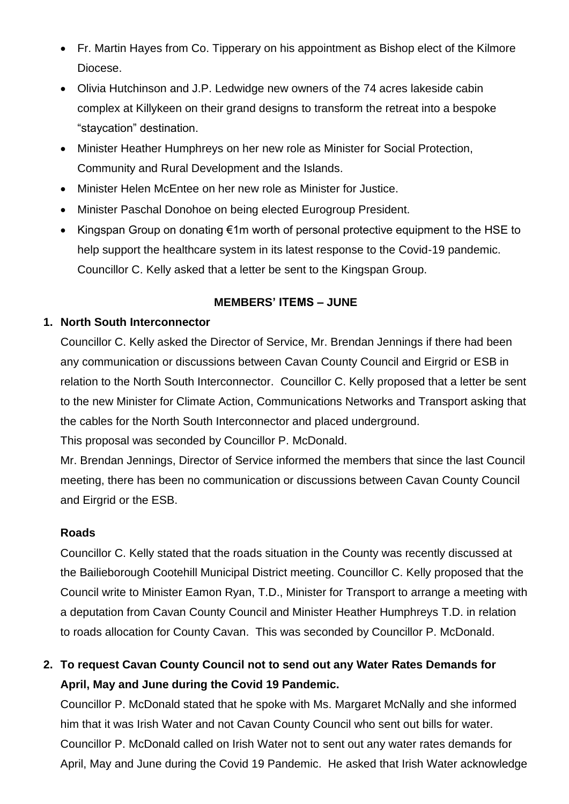- Fr. Martin Hayes from Co. Tipperary on his appointment as Bishop elect of the Kilmore Diocese.
- Olivia Hutchinson and J.P. Ledwidge new owners of the 74 acres lakeside cabin complex at Killykeen on their grand designs to transform the retreat into a bespoke "staycation" destination.
- Minister Heather Humphreys on her new role as Minister for Social Protection, Community and Rural Development and the Islands.
- Minister Helen McEntee on her new role as Minister for Justice.
- Minister Paschal Donohoe on being elected Eurogroup President.
- Kingspan Group on donating €1m worth of personal protective equipment to the HSE to help support the healthcare system in its latest response to the Covid-19 pandemic. Councillor C. Kelly asked that a letter be sent to the Kingspan Group.

### **MEMBERS' ITEMS – JUNE**

### **1. North South Interconnector**

Councillor C. Kelly asked the Director of Service, Mr. Brendan Jennings if there had been any communication or discussions between Cavan County Council and Eirgrid or ESB in relation to the North South Interconnector. Councillor C. Kelly proposed that a letter be sent to the new Minister for Climate Action, Communications Networks and Transport asking that the cables for the North South Interconnector and placed underground.

This proposal was seconded by Councillor P. McDonald.

Mr. Brendan Jennings, Director of Service informed the members that since the last Council meeting, there has been no communication or discussions between Cavan County Council and Eirgrid or the ESB.

#### **Roads**

Councillor C. Kelly stated that the roads situation in the County was recently discussed at the Bailieborough Cootehill Municipal District meeting. Councillor C. Kelly proposed that the Council write to Minister Eamon Ryan, T.D., Minister for Transport to arrange a meeting with a deputation from Cavan County Council and Minister Heather Humphreys T.D. in relation to roads allocation for County Cavan. This was seconded by Councillor P. McDonald.

# **2. To request Cavan County Council not to send out any Water Rates Demands for April, May and June during the Covid 19 Pandemic.**

Councillor P. McDonald stated that he spoke with Ms. Margaret McNally and she informed him that it was Irish Water and not Cavan County Council who sent out bills for water. Councillor P. McDonald called on Irish Water not to sent out any water rates demands for April, May and June during the Covid 19 Pandemic. He asked that Irish Water acknowledge